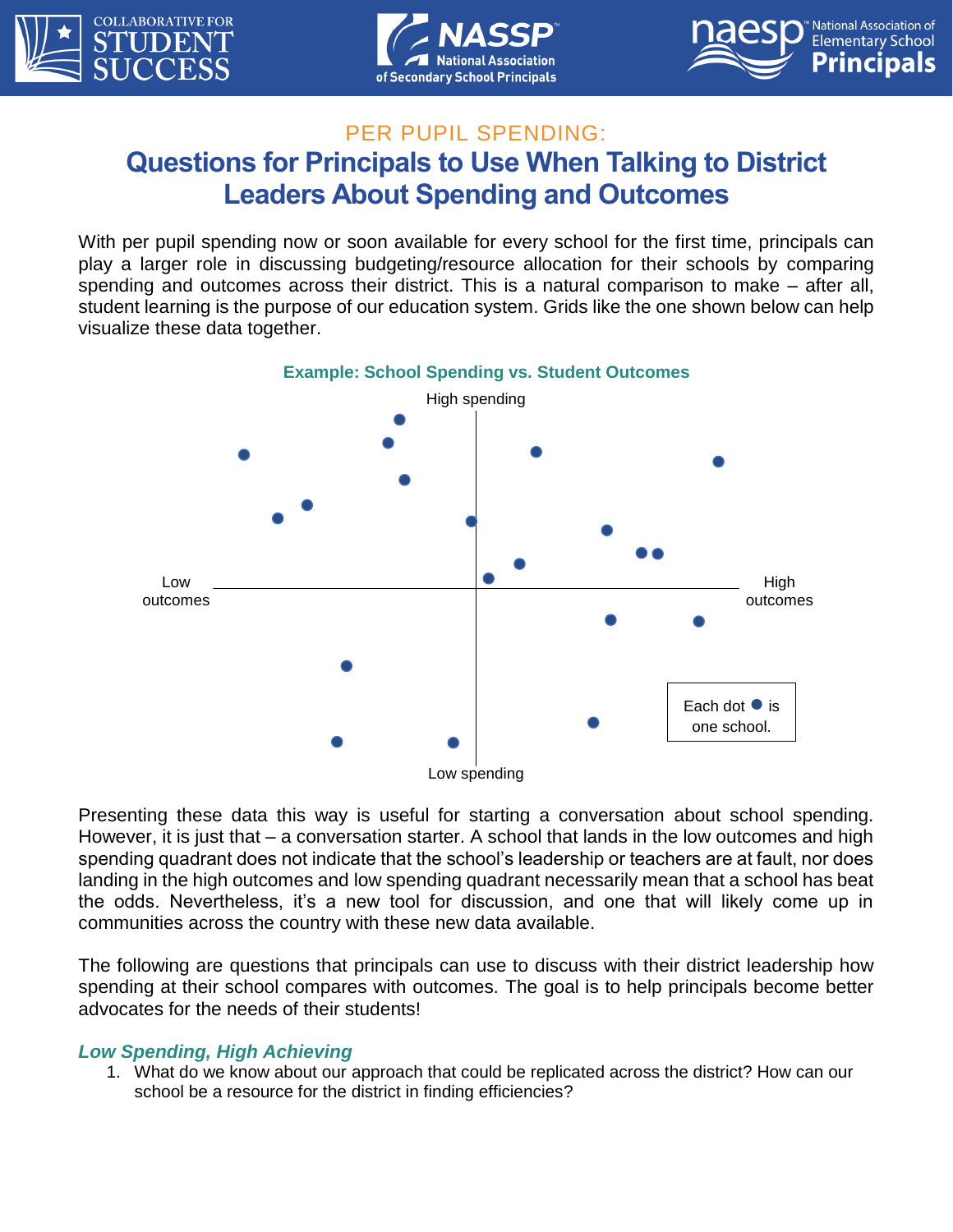





# PER PUPIL SPENDING: **Questions for Principals to Use When Talking to District Leaders About Spending and Outcomes**

With per pupil spending now or soon available for every school for the first time, principals can play a larger role in discussing budgeting/resource allocation for their schools by comparing spending and outcomes across their district. This is a natural comparison to make – after all, student learning is the purpose of our education system. Grids like the one shown below can help visualize these data together.



Presenting these data this way is useful for starting a conversation about school spending. However, it is just that – a conversation starter. A school that lands in the low outcomes and high spending quadrant does not indicate that the school's leadership or teachers are at fault, nor does landing in the high outcomes and low spending quadrant necessarily mean that a school has beat the odds. Nevertheless, it's a new tool for discussion, and one that will likely come up in communities across the country with these new data available.

The following are questions that principals can use to discuss with their district leadership how spending at their school compares with outcomes. The goal is to help principals become better advocates for the needs of their students!

### *Low Spending, High Achieving*

1. What do we know about our approach that could be replicated across the district? How can our school be a resource for the district in finding efficiencies?